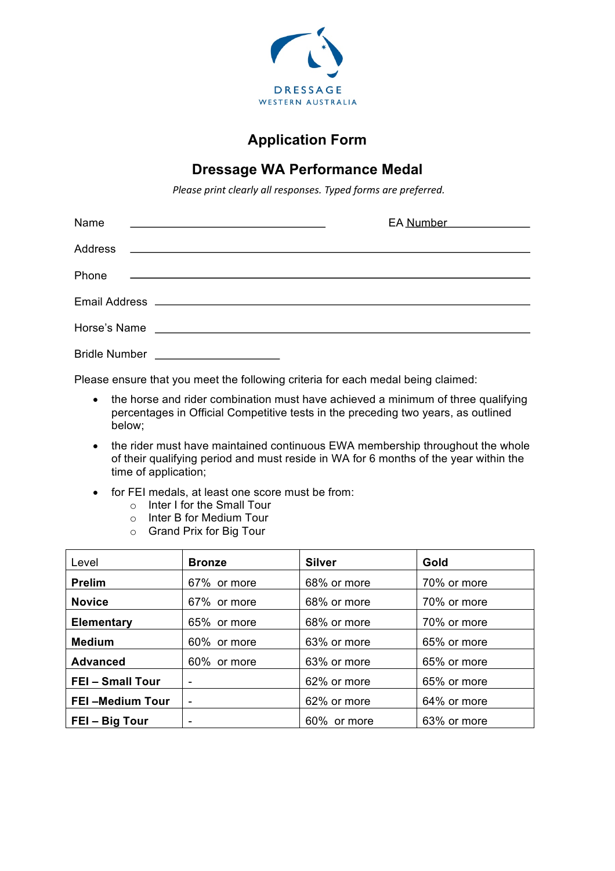

## **Application Form**

## **Dressage WA Performance Medal**

*Please print clearly all responses. Typed forms are preferred.* 

| Name                 | <u> 1980 - John Stein, mars and de Branch and de Branch and de Branch and de Branch and de Branch and de Branch a</u>  | EA Number _____________ |
|----------------------|------------------------------------------------------------------------------------------------------------------------|-------------------------|
|                      |                                                                                                                        |                         |
| Phone                | <u> 1980 - Andrea Barbara, amerikana amerikana amerikana amerikana amerikana amerikana amerikana amerikana amerika</u> |                         |
|                      |                                                                                                                        |                         |
| Horse's Name         |                                                                                                                        |                         |
| <b>Bridle Number</b> | <u> 1980 - Andrea Andrew Maria (h. 1980).</u>                                                                          |                         |

Please ensure that you meet the following criteria for each medal being claimed:

- the horse and rider combination must have achieved a minimum of three qualifying percentages in Official Competitive tests in the preceding two years, as outlined below;
- the rider must have maintained continuous EWA membership throughout the whole of their qualifying period and must reside in WA for 6 months of the year within the time of application;
- for FEI medals, at least one score must be from:
	- o Inter I for the Small Tour
	- o Inter B for Medium Tour
	- o Grand Prix for Big Tour

| Level                  | <b>Bronze</b> | <b>Silver</b> | Gold        |  |
|------------------------|---------------|---------------|-------------|--|
| <b>Prelim</b>          | 67% or more   | 68% or more   | 70% or more |  |
| <b>Novice</b>          | 67% or more   | 68% or more   | 70% or more |  |
| <b>Elementary</b>      | 65% or more   | 68% or more   | 70% or more |  |
| <b>Medium</b>          | 60% or more   | 63% or more   | 65% or more |  |
| <b>Advanced</b>        | 60% or more   | 63% or more   | 65% or more |  |
| <b>FEI-Small Tour</b>  |               | 62% or more   | 65% or more |  |
| <b>FEI-Medium Tour</b> |               | 62% or more   | 64% or more |  |
| FEI - Big Tour         | -             | 60% or more   | 63% or more |  |